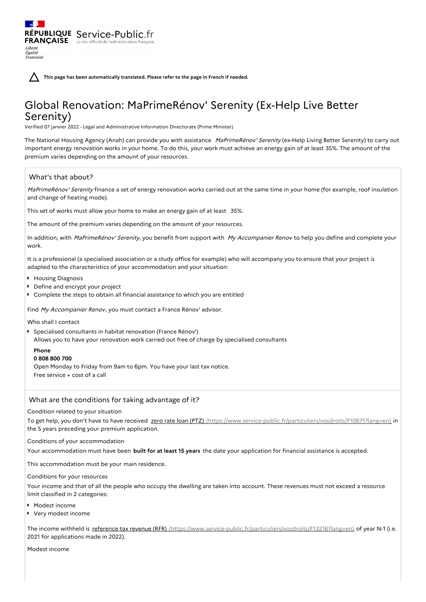**This page has been automatically translated. Please refer to the page in French if needed.**

# Global Renovation: MaPrimeRénov' Serenity (Ex-Help Live Better Serenity)

Verified 07 janvier 2022 - Legal and Administrative Information Directorate (Prime Minister)

The National Housing Agency (Anah) can provide you with assistance MaPrimeRénov' Serenity (ex-Help Living Better Serenity) to carry out important energy renovation works in your home. To do this, your work must achieve an energy gain of at least 35%. The amount of the premium varies depending on the amount of your resources.

## What's that about?

Liberté Égalité Fraternité

RÉPUBLIQUE Service-Public.fr **FRANÇAISE** Le site officiel de l'administration fran

MaPrimeRénov' Serenity finance a set of energy renovation works carried out at the same time in your home (for example, roof insulation and change of heating mode).

This set of works must allow your home to make an energy gain of at least 35%.

The amount of the premium varies depending on the amount of your resources.

In addition, with MaPrimeRénov' Serenity, you benefit from support with My Accompanier Renov to help you define and complete your work.

It is a professional (a specialised association or a study office for example) who will accompany you to ensure that your project is adapted to the characteristics of your accommodation and your situation:

- **Housing Diagnosis**
- **Define and encrypt your project**
- Complete the steps to obtain all financial assistance to which you are entitled

Find My Accompanier Renov, you must contact a France Rénov' advisor.

Who shall I contact

Specialised consultants in habitat renovation (France Rénov') Allows you to have your renovation work carried out free of charge by specialised consultants

## **Phone**

**0 808 800 700**

Open Monday to Friday from 9am to 6pm. You have your last tax notice. Free service + cost of a call

## What are the conditions for taking advantage of it?

### Condition related to your situation

To get help, you don't have to have received zero rate loan (PTZ) [\(https://www.service-public.fr/particuliers/vosdroits/F10871?lang=en\)](https://www.service-public.fr/particuliers/vosdroits/F10871?lang=en) in the 5 years preceding your premium application.

#### Conditions of your accommodation

Your accommodation must have been **built for at least 15 years** the date your application for financial assistance is accepted.

This accommodation must be your main residence.

#### Conditions for your resources

Your income and that of all the people who occupy the dwelling are taken into account. These revenues must not exceed a resource limit classified in 2 categories:

- **Modest income**
- Very modest income

The income withheld is reference tax revenue (RFR) [\(https://www.service-public.fr/particuliers/vosdroits/F13216?lang=en\)](https://www.service-public.fr/particuliers/vosdroits/F13216?lang=en) of year N-1 (i.e. 2021 for applications made in 2022).

Modest income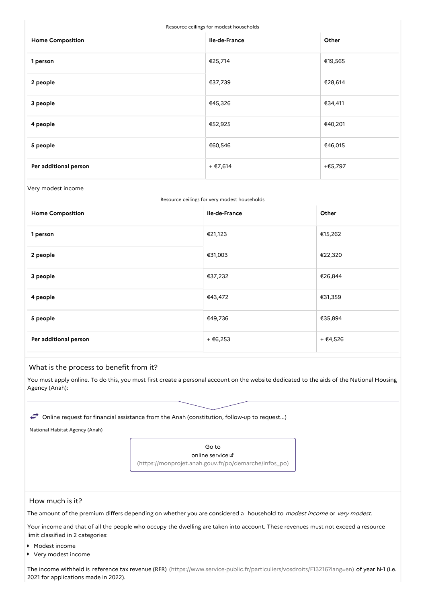Resource ceilings for modest households

| <b>Home Composition</b> | Ile-de-France | Other   |
|-------------------------|---------------|---------|
| 1 person                | €25,714       | €19,565 |
| 2 people                | €37,739       | €28,614 |
| 3 people                | €45,326       | €34,411 |
| 4 people                | €52,925       | €40,201 |
| 5 people                | €60,546       | €46,015 |
| Per additional person   | + €7,614      | +€5,797 |

#### Very modest income

|  |  | Resource ceilings for very modest households |
|--|--|----------------------------------------------|
|  |  |                                              |

| <b>Home Composition</b> | Ile-de-France | Other    |
|-------------------------|---------------|----------|
| 1 person                | €21,123       | €15,262  |
| 2 people                | €31,003       | €22,320  |
| 3 people                | €37,232       | €26,844  |
| 4 people                | €43,472       | €31,359  |
| 5 people                | €49,736       | €35,894  |
| Per additional person   | + €6,253      | + €4,526 |

## What is the process to benefit from it?

You must apply online. To do this, you must first create a personal account on the website dedicated to the aids of the National Housing Agency (Anah):

 $\leftrightarrow$  Online request for financial assistance from the Anah (constitution, follow-up to request...)

National Habitat Agency (Anah)

Go to online service [\(https://monprojet.anah.gouv.fr/po/demarche/infos\\_po\)](https://monprojet.anah.gouv.fr/po/demarche/infos_po)

#### How much is it?

The amount of the premium differs depending on whether you are considered a household to modest income or very modest.

Your income and that of all the people who occupy the dwelling are taken into account. These revenues must not exceed a resource limit classified in 2 categories:

- Modest income
- Very modest income

The income withheld is reference tax revenue (RFR) [\(https://www.service-public.fr/particuliers/vosdroits/F13216?lang=en\)](https://www.service-public.fr/particuliers/vosdroits/F13216?lang=en) of year N-1 (i.e. 2021 for applications made in 2022).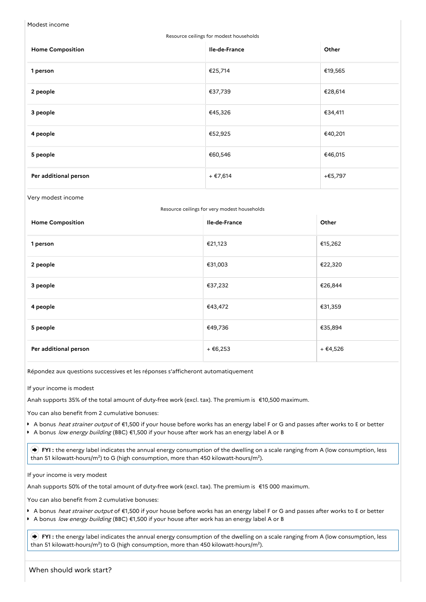Modest income

| Resource ceilings for modest households |               |         |  |
|-----------------------------------------|---------------|---------|--|
| <b>Home Composition</b>                 | Ile-de-France | Other   |  |
| 1 person                                | €25,714       | €19,565 |  |
| 2 people                                | €37,739       | €28,614 |  |
| 3 people                                | €45,326       | €34,411 |  |
| 4 people                                | €52,925       | €40,201 |  |
| 5 people                                | €60,546       | €46,015 |  |
| Per additional person                   | + €7,614      | +€5,797 |  |
|                                         |               |         |  |

Very modest income

| Resource ceilings for very modest households<br>Ile-de-France<br>Other |          |          |
|------------------------------------------------------------------------|----------|----------|
| <b>Home Composition</b>                                                |          |          |
| 1 person                                                               | €21,123  | €15,262  |
| 2 people                                                               | €31,003  | €22,320  |
| 3 people                                                               | €37,232  | €26,844  |
| 4 people                                                               | €43,472  | €31,359  |
| 5 people                                                               | €49,736  | €35,894  |
| Per additional person                                                  | + €6,253 | + €4,526 |

Répondez aux questions successives et les réponses s'afficheront automatiquement

If your income is modest

Anah supports 35% of the total amount of duty-free work (excl. tax). The premium is €10,500 maximum.

You can also benefit from 2 cumulative bonuses:

- A bonus *heat strainer output* of €1,500 if your house before works has an energy label F or G and passes after works to E or better
- A bonus low energy building (BBC) €1,500 if your house after work has an energy label A or B

**FYI**: the energy label indicates the annual energy consumption of the dwelling on a scale ranging from A (low consumption, less than 51 kilowatt-hours/m<sup>2</sup>) to G (high consumption, more than 450 kilowatt-hours/m<sup>2</sup>).

If your income is very modest

Anah supports 50% of the total amount of duty-free work (excl. tax). The premium is €15 000 maximum.

You can also benefit from 2 cumulative bonuses:

- A bonus *heat strainer output* of €1,500 if your house before works has an energy label F or G and passes after works to E or better
- A bonus low energy building (BBC) €1,500 if your house after work has an energy label A or B

 **FYI :** the energy label indicates the annual energy consumption of the dwelling on a scale ranging from A (low consumption, less than 51 kilowatt-hours/m²) to G (high consumption, more than 450 kilowatt-hours/m²).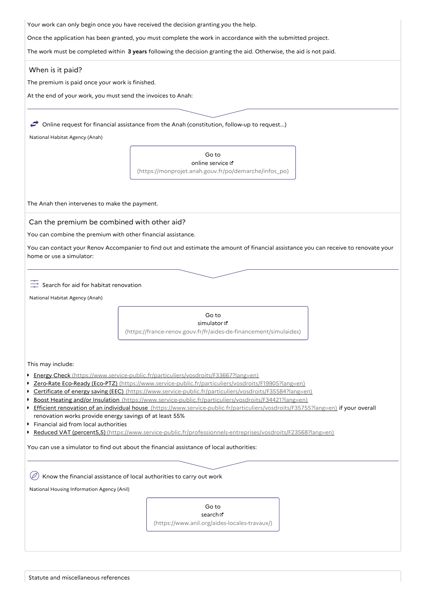| Your work can only begin once you have received the decision granting you the help. |  |
|-------------------------------------------------------------------------------------|--|
|                                                                                     |  |

Once the application has been granted, you must complete the work in accordance with the submitted project.

The work must be completed within **3 years** following the decision granting the aid. Otherwise, the aid is not paid.

## When is it paid?

The premium is paid once your work is finished.

At the end of your work, you must send the invoices to Anah:

 $\rightarrow$  Online request for financial assistance from the Anah (constitution, follow-up to request...)

National Habitat Agency (Anah)

Go to online service [\(https://monprojet.anah.gouv.fr/po/demarche/infos\\_po\)](https://monprojet.anah.gouv.fr/po/demarche/infos_po)

The Anah then intervenes to make the payment.

Can the premium be combined with other aid?

You can combine the premium with other financial assistance.

You can contact your Renov Accompanier to find out and estimate the amount of financial assistance you can receive to renovate your home or use a simulator:

 $\frac{3}{\sqrt{2}}$  Search for aid for habitat renovation

National Habitat Agency (Anah)

Go to simulator<sup>d</sup> [\(https://france-renov.gouv.fr/fr/aides-de-financement/simulaides\)](https://france-renov.gouv.fr/fr/aides-de-financement/simulaides)

This may include:

- Energy Check [\(https://www.service-public.fr/particuliers/vosdroits/F33667?lang=en\)](https://www.service-public.fr/particuliers/vosdroits/F33667?lang=en)
- Zero-Rate Eco-Ready (Eco-PTZ) [\(https://www.service-public.fr/particuliers/vosdroits/F19905?lang=en\)](https://www.service-public.fr/particuliers/vosdroits/F19905?lang=en)
- Certificate of energy saving (EEC) [\(https://www.service-public.fr/particuliers/vosdroits/F35584?lang=en\)](https://www.service-public.fr/particuliers/vosdroits/F35584?lang=en)
- Boost Heating and/or Insulation [\(https://www.service-public.fr/particuliers/vosdroits/F34421?lang=en\)](https://www.service-public.fr/particuliers/vosdroits/F34421?lang=en)
- Efficient renovation of an individual house [\(https://www.service-public.fr/particuliers/vosdroits/F35755?lang=en\)](https://www.service-public.fr/particuliers/vosdroits/F35755?lang=en) if your overall renovation works provide energy savings of at least 55%
- Financial aid from local authorities
- Reduced VAT (percent5,5) [\(https://www.service-public.fr/professionnels-entreprises/vosdroits/F23568?lang=en\)](https://www.service-public.fr/professionnels-entreprises/vosdroits/F23568?lang=en)

You can use a simulator to find out about the financial assistance of local authorities:

 $\left(\mathscr{D}\right)$  Know the financial assistance of local authorities to carry out work

National Housing Information Agency (Anil)

Go to search<sub>[</sub>

[\(https://www.anil.org/aides-locales-travaux/\)](https://www.anil.org/aides-locales-travaux/)